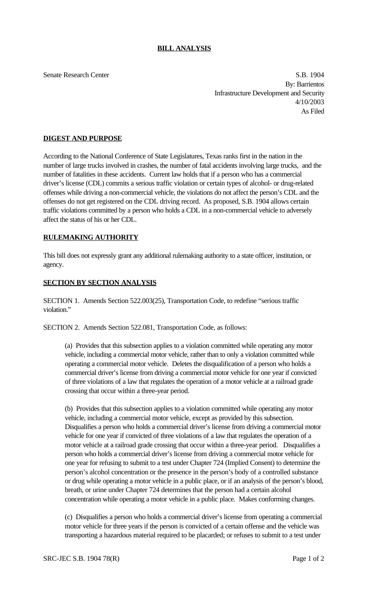## **BILL ANALYSIS**

Senate Research Center S.B. 1904 By: Barrientos Infrastructure Development and Security 4/10/2003 As Filed

## **DIGEST AND PURPOSE**

According to the National Conference of State Legislatures, Texas ranks first in the nation in the number of large trucks involved in crashes, the number of fatal accidents involving large trucks, and the number of fatalities in these accidents. Current law holds that if a person who has a commercial driver's license (CDL) commits a serious traffic violation or certain types of alcohol- or drug-related offenses while driving a non-commercial vehicle, the violations do not affect the person's CDL and the offenses do not get registered on the CDL driving record. As proposed, S.B. 1904 allows certain traffic violations committed by a person who holds a CDL in a non-commercial vehicle to adversely affect the status of his or her CDL.

## **RULEMAKING AUTHORITY**

This bill does not expressly grant any additional rulemaking authority to a state officer, institution, or agency.

## **SECTION BY SECTION ANALYSIS**

SECTION 1. Amends Section 522.003(25), Transportation Code, to redefine "serious traffic violation."

SECTION 2. Amends Section 522.081, Transportation Code, as follows:

(a) Provides that this subsection applies to a violation committed while operating any motor vehicle, including a commercial motor vehicle, rather than to only a violation committed while operating a commercial motor vehicle. Deletes the disqualification of a person who holds a commercial driver's license from driving a commercial motor vehicle for one year if convicted of three violations of a law that regulates the operation of a motor vehicle at a railroad grade crossing that occur within a three-year period.

(b) Provides that this subsection applies to a violation committed while operating any motor vehicle, including a commercial motor vehicle, except as provided by this subsection. Disqualifies a person who holds a commercial driver's license from driving a commercial motor vehicle for one year if convicted of three violations of a law that regulates the operation of a motor vehicle at a railroad grade crossing that occur within a three-year period. Disqualifies a person who holds a commercial driver's license from driving a commercial motor vehicle for one year for refusing to submit to a test under Chapter 724 (Implied Consent) to determine the person's alcohol concentration or the presence in the person's body of a controlled substance or drug while operating a motor vehicle in a public place, or if an analysis of the person's blood, breath, or urine under Chapter 724 determines that the person had a certain alcohol concentration while operating a motor vehicle in a public place. Makes conforming changes.

(c) Disqualifies a person who holds a commercial driver's license from operating a commercial motor vehicle for three years if the person is convicted of a certain offense and the vehicle was transporting a hazardous material required to be placarded; or refuses to submit to a test under